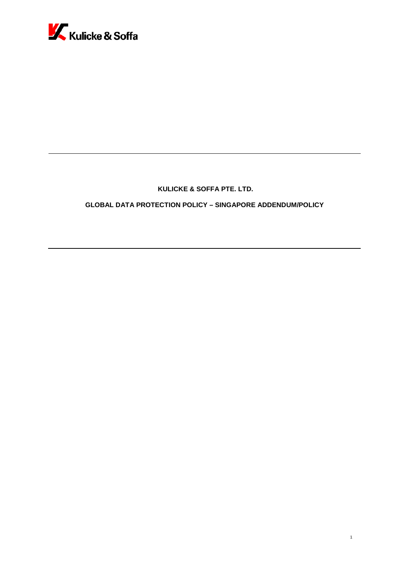

# **KULICKE & SOFFA PTE. LTD.**

**GLOBAL DATA PROTECTION POLICY – SINGAPORE ADDENDUM/POLICY**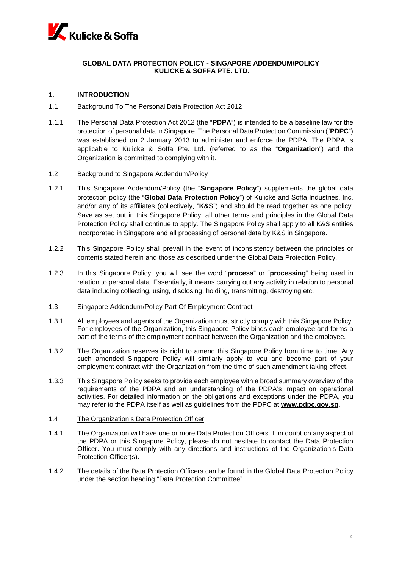

# **GLOBAL DATA PROTECTION POLICY - SINGAPORE ADDENDUM/POLICY KULICKE & SOFFA PTE. LTD.**

# **1. INTRODUCTION**

## 1.1 Background To The Personal Data Protection Act 2012

1.1.1 The Personal Data Protection Act 2012 (the "**PDPA**") is intended to be a baseline law for the protection of personal data in Singapore. The Personal Data Protection Commission ("**PDPC**") was established on 2 January 2013 to administer and enforce the PDPA. The PDPA is applicable to Kulicke & Soffa Pte. Ltd. (referred to as the "**Organization**") and the Organization is committed to complying with it.

## 1.2 Background to Singapore Addendum/Policy

- 1.2.1 This Singapore Addendum/Policy (the "**Singapore Policy**") supplements the global data protection policy (the "**Global Data Protection Policy**") of Kulicke and Soffa Industries, Inc. and/or any of its affiliates (collectively, "**K&S**") and should be read together as one policy. Save as set out in this Singapore Policy, all other terms and principles in the Global Data Protection Policy shall continue to apply. The Singapore Policy shall apply to all K&S entities incorporated in Singapore and all processing of personal data by K&S in Singapore.
- 1.2.2 This Singapore Policy shall prevail in the event of inconsistency between the principles or contents stated herein and those as described under the Global Data Protection Policy.
- 1.2.3 In this Singapore Policy, you will see the word "**process**" or "**processing**" being used in relation to personal data. Essentially, it means carrying out any activity in relation to personal data including collecting, using, disclosing, holding, transmitting, destroying etc.

# 1.3 Singapore Addendum/Policy Part Of Employment Contract

- 1.3.1 All employees and agents of the Organization must strictly comply with this Singapore Policy. For employees of the Organization, this Singapore Policy binds each employee and forms a part of the terms of the employment contract between the Organization and the employee.
- 1.3.2 The Organization reserves its right to amend this Singapore Policy from time to time. Any such amended Singapore Policy will similarly apply to you and become part of your employment contract with the Organization from the time of such amendment taking effect.
- 1.3.3 This Singapore Policy seeks to provide each employee with a broad summary overview of the requirements of the PDPA and an understanding of the PDPA's impact on operational activities. For detailed information on the obligations and exceptions under the PDPA, you may refer to the PDPA itself as well as guidelines from the PDPC at **www.pdpc.gov.sg**.

# 1.4 The Organization's Data Protection Officer

- 1.4.1 The Organization will have one or more Data Protection Officers. If in doubt on any aspect of the PDPA or this Singapore Policy, please do not hesitate to contact the Data Protection Officer. You must comply with any directions and instructions of the Organization's Data Protection Officer(s).
- 1.4.2 The details of the Data Protection Officers can be found in the Global Data Protection Policy under the section heading "Data Protection Committee".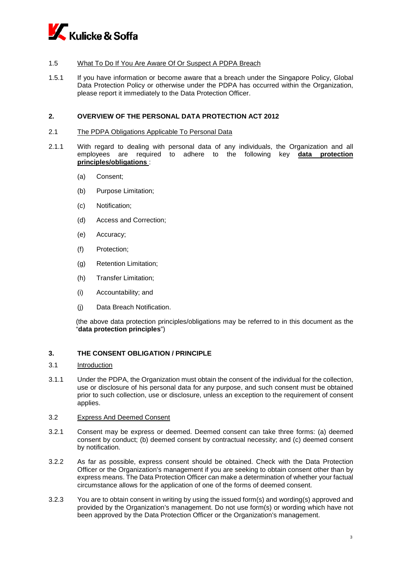

# 1.5 What To Do If You Are Aware Of Or Suspect A PDPA Breach

1.5.1 If you have information or become aware that a breach under the Singapore Policy, Global Data Protection Policy or otherwise under the PDPA has occurred within the Organization, please report it immediately to the Data Protection Officer.

# **2. OVERVIEW OF THE PERSONAL DATA PROTECTION ACT 2012**

### 2.1 The PDPA Obligations Applicable To Personal Data

- 2.1.1 With regard to dealing with personal data of any individuals, the Organization and all employees are required to adhere to the following key **data protection principles/obligations** :
	- (a) Consent;
	- (b) Purpose Limitation;
	- (c) Notification;
	- (d) Access and Correction;
	- (e) Accuracy;
	- (f) Protection;
	- (g) Retention Limitation;
	- (h) Transfer Limitation;
	- (i) Accountability; and
	- (j) Data Breach Notification.

(the above data protection principles/obligations may be referred to in this document as the "**data protection principles**")

## **3. THE CONSENT OBLIGATION / PRINCIPLE**

- 3.1 Introduction
- 3.1.1 Under the PDPA, the Organization must obtain the consent of the individual for the collection, use or disclosure of his personal data for any purpose, and such consent must be obtained prior to such collection, use or disclosure, unless an exception to the requirement of consent applies.

# 3.2 Express And Deemed Consent

- 3.2.1 Consent may be express or deemed. Deemed consent can take three forms: (a) deemed consent by conduct; (b) deemed consent by contractual necessity; and (c) deemed consent by notification.
- 3.2.2 As far as possible, express consent should be obtained. Check with the Data Protection Officer or the Organization's management if you are seeking to obtain consent other than by express means. The Data Protection Officer can make a determination of whether your factual circumstance allows for the application of one of the forms of deemed consent.
- 3.2.3 You are to obtain consent in writing by using the issued form(s) and wording(s) approved and provided by the Organization's management. Do not use form(s) or wording which have not been approved by the Data Protection Officer or the Organization's management.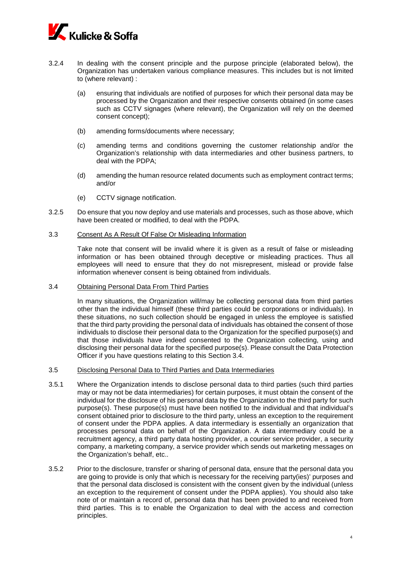

- 3.2.4 In dealing with the consent principle and the purpose principle (elaborated below), the Organization has undertaken various compliance measures. This includes but is not limited to (where relevant) :
	- (a) ensuring that individuals are notified of purposes for which their personal data may be processed by the Organization and their respective consents obtained (in some cases such as CCTV signages (where relevant), the Organization will rely on the deemed consent concept);
	- (b) amending forms/documents where necessary;
	- (c) amending terms and conditions governing the customer relationship and/or the Organization's relationship with data intermediaries and other business partners, to deal with the PDPA;
	- (d) amending the human resource related documents such as employment contract terms; and/or
	- (e) CCTV signage notification.
- 3.2.5 Do ensure that you now deploy and use materials and processes, such as those above, which have been created or modified, to deal with the PDPA.

# 3.3 Consent As A Result Of False Or Misleading Information

Take note that consent will be invalid where it is given as a result of false or misleading information or has been obtained through deceptive or misleading practices. Thus all employees will need to ensure that they do not misrepresent, mislead or provide false information whenever consent is being obtained from individuals.

### 3.4 Obtaining Personal Data From Third Parties

In many situations, the Organization will/may be collecting personal data from third parties other than the individual himself (these third parties could be corporations or individuals). In these situations, no such collection should be engaged in unless the employee is satisfied that the third party providing the personal data of individuals has obtained the consent of those individuals to disclose their personal data to the Organization for the specified purpose(s) and that those individuals have indeed consented to the Organization collecting, using and disclosing their personal data for the specified purpose(s). Please consult the Data Protection Officer if you have questions relating to this Section 3.4.

- 3.5 Disclosing Personal Data to Third Parties and Data Intermediaries
- 3.5.1 Where the Organization intends to disclose personal data to third parties (such third parties may or may not be data intermediaries) for certain purposes, it must obtain the consent of the individual for the disclosure of his personal data by the Organization to the third party for such purpose(s). These purpose(s) must have been notified to the individual and that individual's consent obtained prior to disclosure to the third party, unless an exception to the requirement of consent under the PDPA applies. A data intermediary is essentially an organization that processes personal data on behalf of the Organization. A data intermediary could be a recruitment agency, a third party data hosting provider, a courier service provider, a security company, a marketing company, a service provider which sends out marketing messages on the Organization's behalf, etc..
- 3.5.2 Prior to the disclosure, transfer or sharing of personal data, ensure that the personal data you are going to provide is only that which is necessary for the receiving party(ies)' purposes and that the personal data disclosed is consistent with the consent given by the individual (unless an exception to the requirement of consent under the PDPA applies). You should also take note of or maintain a record of, personal data that has been provided to and received from third parties. This is to enable the Organization to deal with the access and correction principles.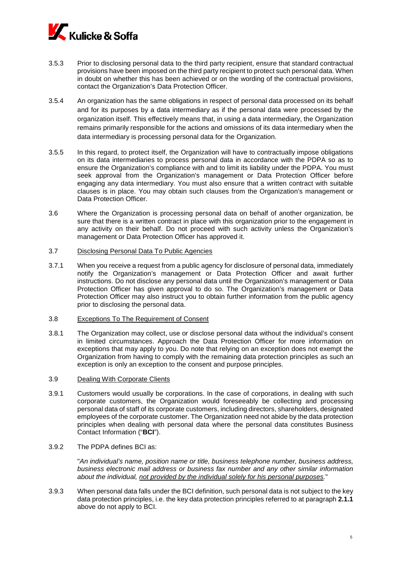

- 3.5.3 Prior to disclosing personal data to the third party recipient, ensure that standard contractual provisions have been imposed on the third party recipient to protect such personal data. When in doubt on whether this has been achieved or on the wording of the contractual provisions, contact the Organization's Data Protection Officer.
- 3.5.4 An organization has the same obligations in respect of personal data processed on its behalf and for its purposes by a data intermediary as if the personal data were processed by the organization itself. This effectively means that, in using a data intermediary, the Organization remains primarily responsible for the actions and omissions of its data intermediary when the data intermediary is processing personal data for the Organization.
- 3.5.5 In this regard, to protect itself, the Organization will have to contractually impose obligations on its data intermediaries to process personal data in accordance with the PDPA so as to ensure the Organization's compliance with and to limit its liability under the PDPA. You must seek approval from the Organization's management or Data Protection Officer before engaging any data intermediary. You must also ensure that a written contract with suitable clauses is in place. You may obtain such clauses from the Organization's management or Data Protection Officer.
- 3.6 Where the Organization is processing personal data on behalf of another organization, be sure that there is a written contract in place with this organization prior to the engagement in any activity on their behalf. Do not proceed with such activity unless the Organization's management or Data Protection Officer has approved it.
- 3.7 Disclosing Personal Data To Public Agencies
- 3.7.1 When you receive a request from a public agency for disclosure of personal data, immediately notify the Organization's management or Data Protection Officer and await further instructions. Do not disclose any personal data until the Organization's management or Data Protection Officer has given approval to do so. The Organization's management or Data Protection Officer may also instruct you to obtain further information from the public agency prior to disclosing the personal data.
- 3.8 Exceptions To The Requirement of Consent
- 3.8.1 The Organization may collect, use or disclose personal data without the individual's consent in limited circumstances. Approach the Data Protection Officer for more information on exceptions that may apply to you. Do note that relying on an exception does not exempt the Organization from having to comply with the remaining data protection principles as such an exception is only an exception to the consent and purpose principles.
- 3.9 Dealing With Corporate Clients
- 3.9.1 Customers would usually be corporations. In the case of corporations, in dealing with such corporate customers, the Organization would foreseeably be collecting and processing personal data of staff of its corporate customers, including directors, shareholders, designated employees of the corporate customer. The Organization need not abide by the data protection principles when dealing with personal data where the personal data constitutes Business Contact Information ("**BCI**").
- 3.9.2 The PDPA defines BCI as:

"*An individual's name, position name or title, business telephone number, business address, business electronic mail address or business fax number and any other similar information about the individual, not provided by the individual solely for his personal purposes.*"

3.9.3 When personal data falls under the BCI definition, such personal data is not subject to the key data protection principles, i.e. the key data protection principles referred to at paragraph **2.1.1**  above do not apply to BCI.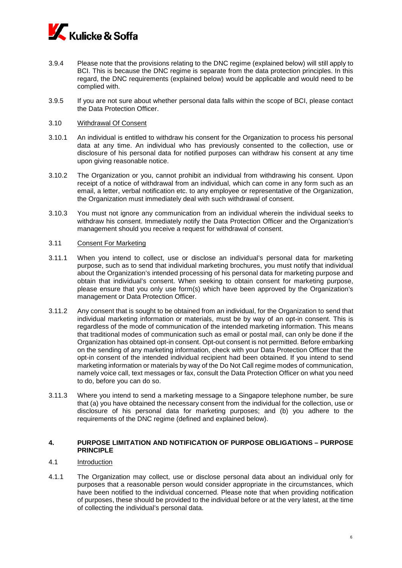

- 3.9.4 Please note that the provisions relating to the DNC regime (explained below) will still apply to BCI. This is because the DNC regime is separate from the data protection principles. In this regard, the DNC requirements (explained below) would be applicable and would need to be complied with.
- 3.9.5 If you are not sure about whether personal data falls within the scope of BCI, please contact the Data Protection Officer.

### 3.10 Withdrawal Of Consent

- 3.10.1 An individual is entitled to withdraw his consent for the Organization to process his personal data at any time. An individual who has previously consented to the collection, use or disclosure of his personal data for notified purposes can withdraw his consent at any time upon giving reasonable notice.
- 3.10.2 The Organization or you, cannot prohibit an individual from withdrawing his consent. Upon receipt of a notice of withdrawal from an individual, which can come in any form such as an email, a letter, verbal notification etc. to any employee or representative of the Organization, the Organization must immediately deal with such withdrawal of consent.
- 3.10.3 You must not ignore any communication from an individual wherein the individual seeks to withdraw his consent. Immediately notify the Data Protection Officer and the Organization's management should you receive a request for withdrawal of consent.

#### 3.11 Consent For Marketing

- 3.11.1 When you intend to collect, use or disclose an individual's personal data for marketing purpose, such as to send that individual marketing brochures, you must notify that individual about the Organization's intended processing of his personal data for marketing purpose and obtain that individual's consent. When seeking to obtain consent for marketing purpose, please ensure that you only use form(s) which have been approved by the Organization's management or Data Protection Officer.
- 3.11.2 Any consent that is sought to be obtained from an individual, for the Organization to send that individual marketing information or materials, must be by way of an opt-in consent. This is regardless of the mode of communication of the intended marketing information. This means that traditional modes of communication such as email or postal mail, can only be done if the Organization has obtained opt-in consent. Opt-out consent is not permitted. Before embarking on the sending of any marketing information, check with your Data Protection Officer that the opt-in consent of the intended individual recipient had been obtained. If you intend to send marketing information or materials by way of the Do Not Call regime modes of communication, namely voice call, text messages or fax, consult the Data Protection Officer on what you need to do, before you can do so.
- 3.11.3 Where you intend to send a marketing message to a Singapore telephone number, be sure that (a) you have obtained the necessary consent from the individual for the collection, use or disclosure of his personal data for marketing purposes; and (b) you adhere to the requirements of the DNC regime (defined and explained below).

# **4. PURPOSE LIMITATION AND NOTIFICATION OF PURPOSE OBLIGATIONS – PURPOSE PRINCIPLE**

# 4.1 Introduction

4.1.1 The Organization may collect, use or disclose personal data about an individual only for purposes that a reasonable person would consider appropriate in the circumstances, which have been notified to the individual concerned. Please note that when providing notification of purposes, these should be provided to the individual before or at the very latest, at the time of collecting the individual's personal data.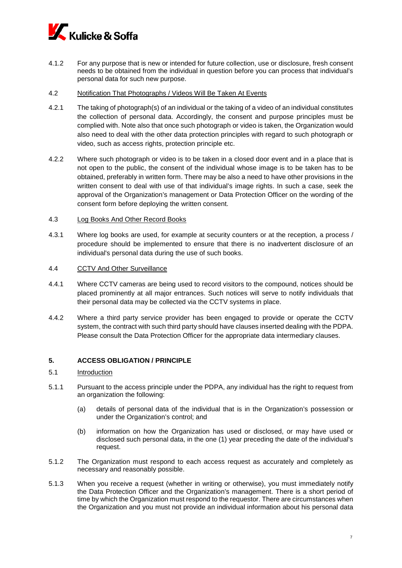

- 4.1.2 For any purpose that is new or intended for future collection, use or disclosure, fresh consent needs to be obtained from the individual in question before you can process that individual's personal data for such new purpose.
- 4.2 Notification That Photographs / Videos Will Be Taken At Events
- 4.2.1 The taking of photograph(s) of an individual or the taking of a video of an individual constitutes the collection of personal data. Accordingly, the consent and purpose principles must be complied with. Note also that once such photograph or video is taken, the Organization would also need to deal with the other data protection principles with regard to such photograph or video, such as access rights, protection principle etc.
- 4.2.2 Where such photograph or video is to be taken in a closed door event and in a place that is not open to the public, the consent of the individual whose image is to be taken has to be obtained, preferably in written form. There may be also a need to have other provisions in the written consent to deal with use of that individual's image rights. In such a case, seek the approval of the Organization's management or Data Protection Officer on the wording of the consent form before deploying the written consent.

## 4.3 Log Books And Other Record Books

4.3.1 Where log books are used, for example at security counters or at the reception, a process / procedure should be implemented to ensure that there is no inadvertent disclosure of an individual's personal data during the use of such books.

## 4.4 CCTV And Other Surveillance

- 4.4.1 Where CCTV cameras are being used to record visitors to the compound, notices should be placed prominently at all major entrances. Such notices will serve to notify individuals that their personal data may be collected via the CCTV systems in place.
- 4.4.2 Where a third party service provider has been engaged to provide or operate the CCTV system, the contract with such third party should have clauses inserted dealing with the PDPA. Please consult the Data Protection Officer for the appropriate data intermediary clauses.

# **5. ACCESS OBLIGATION / PRINCIPLE**

## 5.1 Introduction

- 5.1.1 Pursuant to the access principle under the PDPA, any individual has the right to request from an organization the following:
	- (a) details of personal data of the individual that is in the Organization's possession or under the Organization's control; and
	- (b) information on how the Organization has used or disclosed, or may have used or disclosed such personal data, in the one (1) year preceding the date of the individual's request.
- 5.1.2 The Organization must respond to each access request as accurately and completely as necessary and reasonably possible.
- 5.1.3 When you receive a request (whether in writing or otherwise), you must immediately notify the Data Protection Officer and the Organization's management. There is a short period of time by which the Organization must respond to the requestor. There are circumstances when the Organization and you must not provide an individual information about his personal data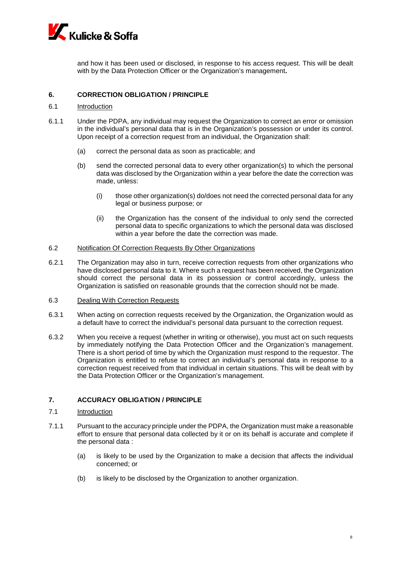

and how it has been used or disclosed, in response to his access request. This will be dealt with by the Data Protection Officer or the Organization's management**.**

# **6. CORRECTION OBLIGATION / PRINCIPLE**

### 6.1 Introduction

- 6.1.1 Under the PDPA, any individual may request the Organization to correct an error or omission in the individual's personal data that is in the Organization's possession or under its control. Upon receipt of a correction request from an individual, the Organization shall:
	- (a) correct the personal data as soon as practicable; and
	- (b) send the corrected personal data to every other organization(s) to which the personal data was disclosed by the Organization within a year before the date the correction was made, unless:
		- (i) those other organization(s) do/does not need the corrected personal data for any legal or business purpose; or
		- (ii) the Organization has the consent of the individual to only send the corrected personal data to specific organizations to which the personal data was disclosed within a year before the date the correction was made.

#### 6.2 Notification Of Correction Requests By Other Organizations

- 6.2.1 The Organization may also in turn, receive correction requests from other organizations who have disclosed personal data to it. Where such a request has been received, the Organization should correct the personal data in its possession or control accordingly, unless the Organization is satisfied on reasonable grounds that the correction should not be made.
- 6.3 Dealing With Correction Requests
- 6.3.1 When acting on correction requests received by the Organization, the Organization would as a default have to correct the individual's personal data pursuant to the correction request.
- 6.3.2 When you receive a request (whether in writing or otherwise), you must act on such requests by immediately notifying the Data Protection Officer and the Organization's management. There is a short period of time by which the Organization must respond to the requestor. The Organization is entitled to refuse to correct an individual's personal data in response to a correction request received from that individual in certain situations. This will be dealt with by the Data Protection Officer or the Organization's management.

# **7. ACCURACY OBLIGATION / PRINCIPLE**

- 7.1 Introduction
- 7.1.1 Pursuant to the accuracy principle under the PDPA, the Organization must make a reasonable effort to ensure that personal data collected by it or on its behalf is accurate and complete if the personal data :
	- (a) is likely to be used by the Organization to make a decision that affects the individual concerned; or
	- (b) is likely to be disclosed by the Organization to another organization.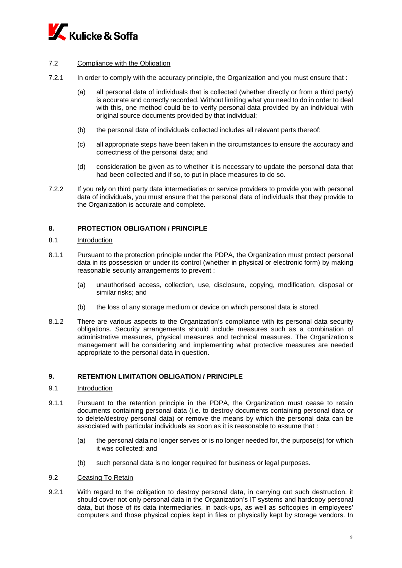

# 7.2 Compliance with the Obligation

- 7.2.1 In order to comply with the accuracy principle, the Organization and you must ensure that :
	- (a) all personal data of individuals that is collected (whether directly or from a third party) is accurate and correctly recorded. Without limiting what you need to do in order to deal with this, one method could be to verify personal data provided by an individual with original source documents provided by that individual;
	- (b) the personal data of individuals collected includes all relevant parts thereof;
	- (c) all appropriate steps have been taken in the circumstances to ensure the accuracy and correctness of the personal data; and
	- (d) consideration be given as to whether it is necessary to update the personal data that had been collected and if so, to put in place measures to do so.
- 7.2.2 If you rely on third party data intermediaries or service providers to provide you with personal data of individuals, you must ensure that the personal data of individuals that they provide to the Organization is accurate and complete.

# **8. PROTECTION OBLIGATION / PRINCIPLE**

### 8.1 Introduction

- 8.1.1 Pursuant to the protection principle under the PDPA, the Organization must protect personal data in its possession or under its control (whether in physical or electronic form) by making reasonable security arrangements to prevent :
	- (a) unauthorised access, collection, use, disclosure, copying, modification, disposal or similar risks; and
	- (b) the loss of any storage medium or device on which personal data is stored.
- 8.1.2 There are various aspects to the Organization's compliance with its personal data security obligations. Security arrangements should include measures such as a combination of administrative measures, physical measures and technical measures. The Organization's management will be considering and implementing what protective measures are needed appropriate to the personal data in question.

## **9. RETENTION LIMITATION OBLIGATION / PRINCIPLE**

## 9.1 Introduction

- 9.1.1 Pursuant to the retention principle in the PDPA, the Organization must cease to retain documents containing personal data (i.e. to destroy documents containing personal data or to delete/destroy personal data) or remove the means by which the personal data can be associated with particular individuals as soon as it is reasonable to assume that :
	- (a) the personal data no longer serves or is no longer needed for, the purpose(s) for which it was collected; and
	- (b) such personal data is no longer required for business or legal purposes.
- 9.2 Ceasing To Retain
- 9.2.1 With regard to the obligation to destroy personal data, in carrying out such destruction, it should cover not only personal data in the Organization's IT systems and hardcopy personal data, but those of its data intermediaries, in back-ups, as well as softcopies in employees' computers and those physical copies kept in files or physically kept by storage vendors. In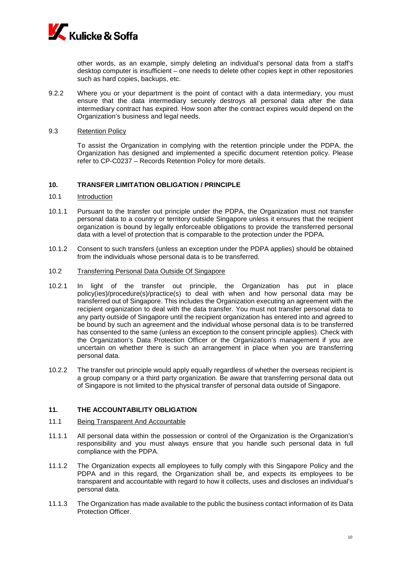

other words, as an example, simply deleting an individual's personal data from a staff's desktop computer is insufficient – one needs to delete other copies kept in other repositories such as hard copies, backups, etc.

- 9.2.2 Where you or your department is the point of contact with a data intermediary, you must ensure that the data intermediary securely destroys all personal data after the data intermediary contract has expired. How soon after the contract expires would depend on the Organization's business and legal needs.
- 9.3 Retention Policy

To assist the Organization in complying with the retention principle under the PDPA, the Organization has designed and implemented a specific document retention policy. Please refer to CP-C0237 – Records Retention Policy for more details.

### **10. TRANSFER LIMITATION OBLIGATION / PRINCIPLE**

#### 10.1 Introduction

- 10.1.1 Pursuant to the transfer out principle under the PDPA, the Organization must not transfer personal data to a country or territory outside Singapore unless it ensures that the recipient organization is bound by legally enforceable obligations to provide the transferred personal data with a level of protection that is comparable to the protection under the PDPA.
- 10.1.2 Consent to such transfers (unless an exception under the PDPA applies) should be obtained from the individuals whose personal data is to be transferred.
- 10.2 Transferring Personal Data Outside Of Singapore
- 10.2.1 In light of the transfer out principle, the Organization has put in place policy(ies)/procedure(s)/practice(s) to deal with when and how personal data may be transferred out of Singapore. This includes the Organization executing an agreement with the recipient organization to deal with the data transfer. You must not transfer personal data to any party outside of Singapore until the recipient organization has entered into and agreed to be bound by such an agreement and the individual whose personal data is to be transferred has consented to the same (unless an exception to the consent principle applies). Check with the Organization's Data Protection Officer or the Organization's management if you are uncertain on whether there is such an arrangement in place when you are transferring personal data.
- 10.2.2 The transfer out principle would apply equally regardless of whether the overseas recipient is a group company or a third party organization. Be aware that transferring personal data out of Singapore is not limited to the physical transfer of personal data outside of Singapore.

# **11. THE ACCOUNTABILITY OBLIGATION**

- 11.1 Being Transparent And Accountable
- 11.1.1 All personal data within the possession or control of the Organization is the Organization's responsibility and you must always ensure that you handle such personal data in full compliance with the PDPA.
- 11.1.2 The Organization expects all employees to fully comply with this Singapore Policy and the PDPA and in this regard, the Organization shall be, and expects its employees to be transparent and accountable with regard to how it collects, uses and discloses an individual's personal data.
- 11.1.3 The Organization has made available to the public the business contact information of its Data Protection Officer.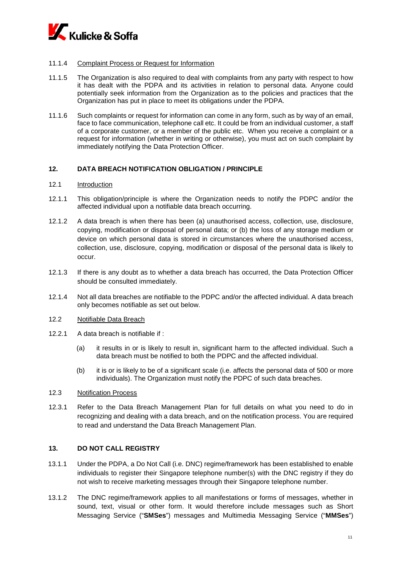

## 11.1.4 Complaint Process or Request for Information

- 11.1.5 The Organization is also required to deal with complaints from any party with respect to how it has dealt with the PDPA and its activities in relation to personal data. Anyone could potentially seek information from the Organization as to the policies and practices that the Organization has put in place to meet its obligations under the PDPA.
- 11.1.6 Such complaints or request for information can come in any form, such as by way of an email, face to face communication, telephone call etc. It could be from an individual customer, a staff of a corporate customer, or a member of the public etc. When you receive a complaint or a request for information (whether in writing or otherwise), you must act on such complaint by immediately notifying the Data Protection Officer.

## **12. DATA BREACH NOTIFICATION OBLIGATION / PRINCIPLE**

### 12.1 Introduction

- 12.1.1 This obligation/principle is where the Organization needs to notify the PDPC and/or the affected individual upon a notifiable data breach occurring.
- 12.1.2 A data breach is when there has been (a) unauthorised access, collection, use, disclosure, copying, modification or disposal of personal data; or (b) the loss of any storage medium or device on which personal data is stored in circumstances where the unauthorised access, collection, use, disclosure, copying, modification or disposal of the personal data is likely to occur.
- 12.1.3 If there is any doubt as to whether a data breach has occurred, the Data Protection Officer should be consulted immediately.
- 12.1.4 Not all data breaches are notifiable to the PDPC and/or the affected individual. A data breach only becomes notifiable as set out below.
- 12.2 Notifiable Data Breach
- 12.2.1 A data breach is notifiable if :
	- (a) it results in or is likely to result in, significant harm to the affected individual. Such a data breach must be notified to both the PDPC and the affected individual.
	- (b) it is or is likely to be of a significant scale (i.e. affects the personal data of 500 or more individuals). The Organization must notify the PDPC of such data breaches.
- 12.3 Notification Process
- 12.3.1 Refer to the Data Breach Management Plan for full details on what you need to do in recognizing and dealing with a data breach, and on the notification process. You are required to read and understand the Data Breach Management Plan.

# **13. DO NOT CALL REGISTRY**

- 13.1.1 Under the PDPA, a Do Not Call (i.e. DNC) regime/framework has been established to enable individuals to register their Singapore telephone number(s) with the DNC registry if they do not wish to receive marketing messages through their Singapore telephone number.
- 13.1.2 The DNC regime/framework applies to all manifestations or forms of messages, whether in sound, text, visual or other form. It would therefore include messages such as Short Messaging Service ("**SMSes**") messages and Multimedia Messaging Service ("**MMSes**")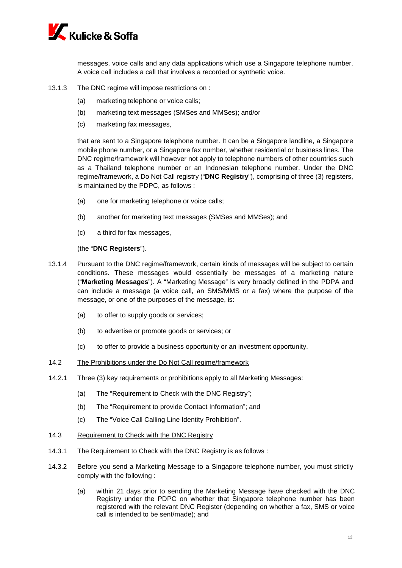

messages, voice calls and any data applications which use a Singapore telephone number. A voice call includes a call that involves a recorded or synthetic voice.

- 13.1.3 The DNC regime will impose restrictions on :
	- (a) marketing telephone or voice calls;
	- (b) marketing text messages (SMSes and MMSes); and/or
	- (c) marketing fax messages,

that are sent to a Singapore telephone number. It can be a Singapore landline, a Singapore mobile phone number, or a Singapore fax number, whether residential or business lines. The DNC regime/framework will however not apply to telephone numbers of other countries such as a Thailand telephone number or an Indonesian telephone number. Under the DNC regime/framework, a Do Not Call registry ("**DNC Registry**"), comprising of three (3) registers, is maintained by the PDPC, as follows :

- (a) one for marketing telephone or voice calls;
- (b) another for marketing text messages (SMSes and MMSes); and
- (c) a third for fax messages,

(the "**DNC Registers**").

- 13.1.4 Pursuant to the DNC regime/framework, certain kinds of messages will be subject to certain conditions. These messages would essentially be messages of a marketing nature ("**Marketing Messages**"). A "Marketing Message" is very broadly defined in the PDPA and can include a message (a voice call, an SMS/MMS or a fax) where the purpose of the message, or one of the purposes of the message, is:
	- (a) to offer to supply goods or services;
	- (b) to advertise or promote goods or services; or
	- (c) to offer to provide a business opportunity or an investment opportunity.
- 14.2 The Prohibitions under the Do Not Call regime/framework
- 14.2.1 Three (3) key requirements or prohibitions apply to all Marketing Messages:
	- (a) The "Requirement to Check with the DNC Registry";
	- (b) The "Requirement to provide Contact Information"; and
	- (c) The "Voice Call Calling Line Identity Prohibition".
- 14.3 Requirement to Check with the DNC Registry
- 14.3.1 The Requirement to Check with the DNC Registry is as follows :
- 14.3.2 Before you send a Marketing Message to a Singapore telephone number, you must strictly comply with the following :
	- (a) within 21 days prior to sending the Marketing Message have checked with the DNC Registry under the PDPC on whether that Singapore telephone number has been registered with the relevant DNC Register (depending on whether a fax, SMS or voice call is intended to be sent/made); and